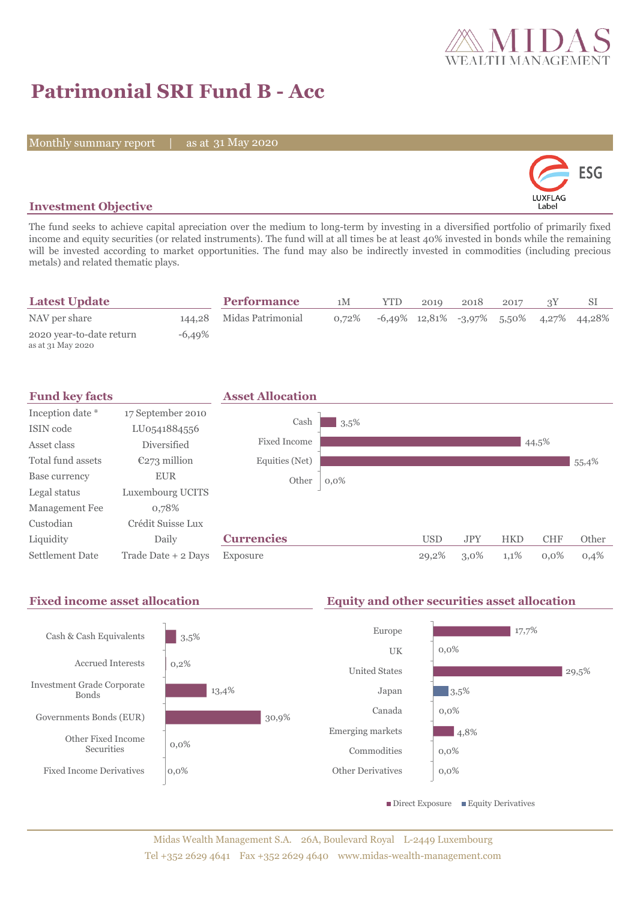

# **Patrimonial SRI Fund B - Acc**

Monthly summary report | as at 31 May 2020



### **Investment Objective**

The fund seeks to achieve capital apreciation over the medium to long-term by investing in a diversified portfolio of primarily fixed income and equity securities (or related instruments). The fund will at all times be at least 40% invested in bonds while the remaining will be invested according to market opportunities. The fund may also be indirectly invested in commodities (including precious metals) and related thematic plays.

| <b>Latest Update</b>                          |           | <b>Performance</b>       | 1M       | YTD | 2019 | 2018 | 2017 |                                               |
|-----------------------------------------------|-----------|--------------------------|----------|-----|------|------|------|-----------------------------------------------|
| NAV per share                                 |           | 144,28 Midas Patrimonial | $0.72\%$ |     |      |      |      | $-6,49\%$ 12,81% $-3,97\%$ 5,50% 4,27% 44,28% |
| 2020 year-to-date return<br>as at 31 May 2020 | $-6,49\%$ |                          |          |     |      |      |      |                                               |



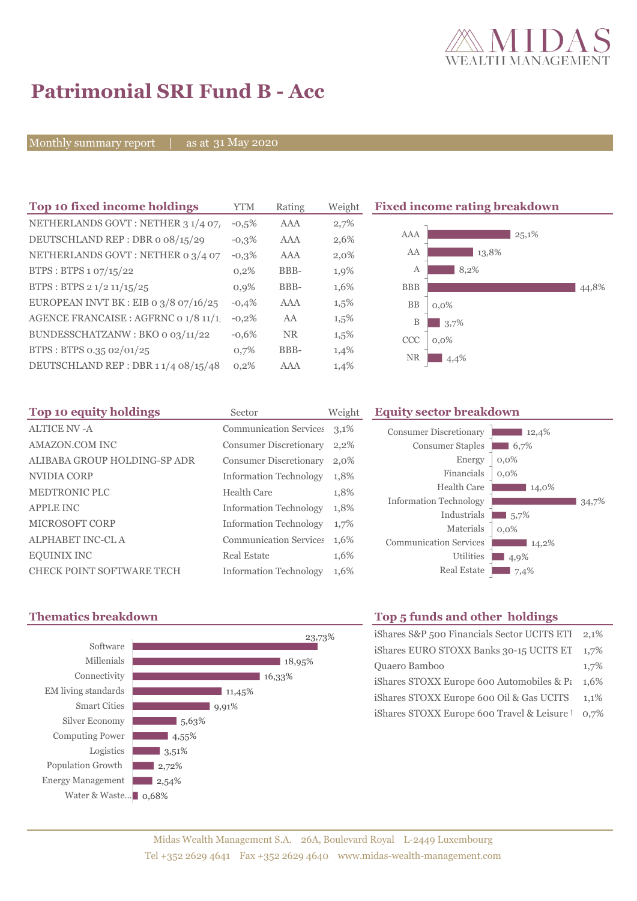

# **Patrimonial SRI Fund B - Acc**

Monthly summary report | as at 31 May 2020

| Top 10 fixed income holdings          | YTM     | Rating    | Weigh   |
|---------------------------------------|---------|-----------|---------|
| NETHERLANDS GOVT: NETHER 3 1/4 07/    | $-0.5%$ | AAA       | 2,7%    |
| DEUTSCHLAND REP: DBR o 08/15/29       | $-0.3%$ | AAA       | 2,6%    |
| NETHERLANDS GOVT: NETHER 0 3/4 07     | $-0,3%$ | AAA       | $2,0\%$ |
| BTPS: BTPS 1 07/15/22                 | 0,2%    | BBB-      | 1,9%    |
| BTPS: BTPS 2 1/2 11/15/25             | 0.9%    | BBB-      | 1,6%    |
| EUROPEAN INVT BK : EIB o 3/8 07/16/25 | $-0.4%$ | AAA       | 1,5%    |
| AGENCE FRANCAISE : AGFRNC 0 1/8 11/1! | $-0,2%$ | AA        | 1,5%    |
| BUNDESSCHATZANW: BKO o 03/11/22       | $-0.6%$ | <b>NR</b> | 1,5%    |
| BTPS: BTPS 0.35 02/01/25              | 0,7%    | BBB-      | 1,4%    |
| DEUTSCHLAND REP: DBR 11/4 08/15/48    | 0,2%    | AAA       | 1,4%    |

**Fixed income rating breakdown** 



| Top 10 equity holdings           | Sector                        | Weight |
|----------------------------------|-------------------------------|--------|
| <b>ALTICE NV - A</b>             | <b>Communication Services</b> | 3,1%   |
| AMAZON.COM INC                   | <b>Consumer Discretionary</b> | 2,2%   |
| ALIBABA GROUP HOLDING-SP ADR     | <b>Consumer Discretionary</b> | 2,0%   |
| NVIDIA CORP                      | <b>Information Technology</b> | 1,8%   |
| <b>MEDTRONIC PLC</b>             | Health Care                   | 1,8%   |
| <b>APPLE INC</b>                 | <b>Information Technology</b> | 1,8%   |
| <b>MICROSOFT CORP</b>            | <b>Information Technology</b> | 1,7%   |
| <b>ALPHABET INC-CL A</b>         | <b>Communication Services</b> | 1,6%   |
| <b>EQUINIX INC</b>               | <b>Real Estate</b>            | 1,6%   |
| <b>CHECK POINT SOFTWARE TECH</b> | <b>Information Technology</b> | 1,6%   |

#### **Equity sector breakdown**

| <b>Consumer Discretionary</b><br><b>Consumer Staples</b> | 12,4%<br>6,7% |
|----------------------------------------------------------|---------------|
| Energy                                                   | $0,0\%$       |
| Financials                                               | $0.0\%$       |
| Health Care                                              | 14,0%         |
| <b>Information Technology</b>                            | 34.7%         |
| Industrials                                              | 5,7%          |
| Materials                                                | $0.0\%$       |
| <b>Communication Services</b>                            | 14,2%         |
| Utilities                                                | 4,9%          |
| <b>Real Estate</b>                                       | 7,4%          |



## **Thematics breakdown Top 5 funds and other holdings**

| iShares S&P 500 Financials Sector UCITS ETI      | $2.1\%$ |
|--------------------------------------------------|---------|
| iShares EURO STOXX Banks 30-15 UCITS ET          | 1.7%    |
| Quaero Bamboo                                    | 1,7%    |
| iShares STOXX Europe 600 Automobiles & $P_{\xi}$ | $1.6\%$ |
| iShares STOXX Europe 600 Oil & Gas UCITS         | $1.1\%$ |
| iShares STOXX Europe 600 Travel & Leisure 1 0,7% |         |